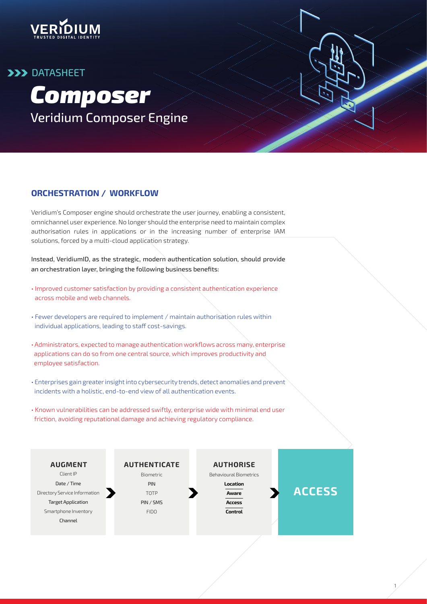

## **>>> DATASHEET**





1

## **ORCHESTRATION / WORKFLOW**

Veridium's Composer engine should orchestrate the user journey, enabling a consistent, omnichannel user experience. No longer should the enterprise need to maintain complex authorisation rules in applications or in the increasing number of enterprise IAM solutions, forced by a multi-cloud application strategy.

Instead, VeridiumID, as the strategic, modern authentication solution, should provide an orchestration layer, bringing the following business benefits:

- Improved customer satisfaction by providing a consistent authentication experience across mobile and web channels.
- Fewer developers are required to implement / maintain authorisation rules within individual applications, leading to staff cost-savings.
- Administrators, expected to manage authentication workflows across many, enterprise applications can do so from one central source, which improves productivity and employee satisfaction.
- Enterprises gain greater insight into cybersecurity trends, detect anomalies and prevent incidents with a holistic, end-to-end view of all authentication events.
- Known vulnerabilities can be addressed swiftly, enterprise wide with minimal end user friction, avoiding reputational damage and achieving regulatory compliance.